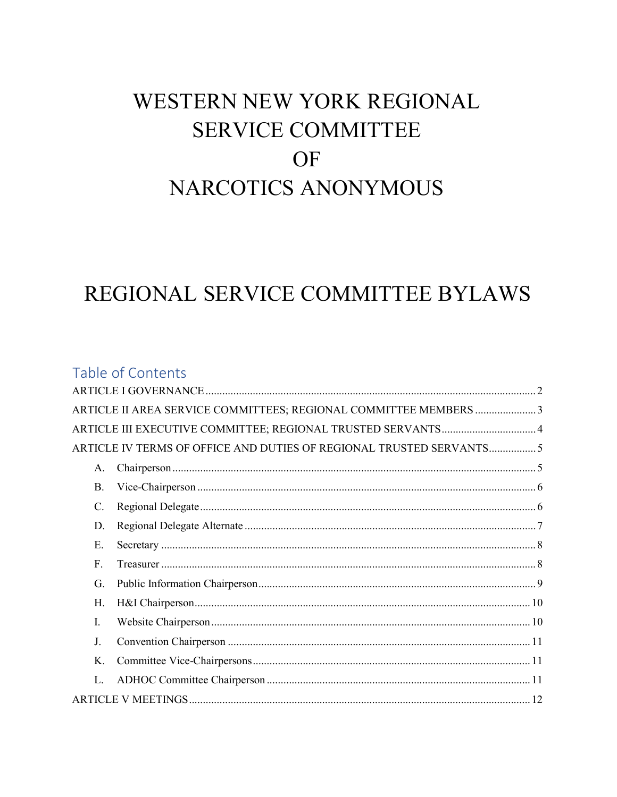# WESTERN NEW YORK REGIONAL **SERVICE COMMITTEE** OF **NARCOTICS ANONYMOUS**

# REGIONAL SERVICE COMMITTEE BYLAWS

|           | Table of Contents                                                   |  |
|-----------|---------------------------------------------------------------------|--|
|           |                                                                     |  |
|           | ARTICLE II AREA SERVICE COMMITTEES; REGIONAL COMMITTEE MEMBERS 3    |  |
|           | ARTICLE III EXECUTIVE COMMITTEE; REGIONAL TRUSTED SERVANTS 4        |  |
|           | ARTICLE IV TERMS OF OFFICE AND DUTIES OF REGIONAL TRUSTED SERVANTS5 |  |
| A.        |                                                                     |  |
| <b>B.</b> |                                                                     |  |
| C.        |                                                                     |  |
| D.        |                                                                     |  |
| Ε.        |                                                                     |  |
| F.        |                                                                     |  |
| G.        |                                                                     |  |
| Н.        |                                                                     |  |
| Ι.        |                                                                     |  |
| J.        |                                                                     |  |
| Κ.        |                                                                     |  |
| L.        |                                                                     |  |
|           |                                                                     |  |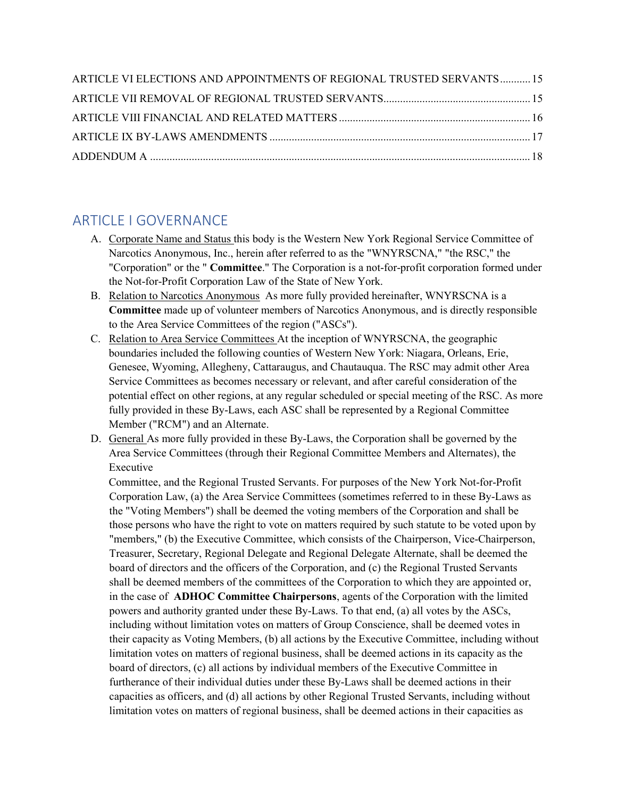| ARTICLE VI ELECTIONS AND APPOINTMENTS OF REGIONAL TRUSTED SERVANTS15 |  |
|----------------------------------------------------------------------|--|
|                                                                      |  |
|                                                                      |  |
|                                                                      |  |
|                                                                      |  |

### ARTICLE I GOVERNANCE

- A. Corporate Name and Status this body is the Western New York Regional Service Committee of Narcotics Anonymous, Inc., herein after referred to as the "WNYRSCNA," "the RSC," the "Corporation" or the " Committee." The Corporation is a not-for-profit corporation formed under the Not-for-Profit Corporation Law of the State of New York.
- B. Relation to Narcotics Anonymous As more fully provided hereinafter, WNYRSCNA is a Committee made up of volunteer members of Narcotics Anonymous, and is directly responsible to the Area Service Committees of the region ("ASCs").
- C. Relation to Area Service Committees At the inception of WNYRSCNA, the geographic boundaries included the following counties of Western New York: Niagara, Orleans, Erie, Genesee, Wyoming, Allegheny, Cattaraugus, and Chautauqua. The RSC may admit other Area Service Committees as becomes necessary or relevant, and after careful consideration of the potential effect on other regions, at any regular scheduled or special meeting of the RSC. As more fully provided in these By-Laws, each ASC shall be represented by a Regional Committee Member ("RCM") and an Alternate.
- D. General As more fully provided in these By-Laws, the Corporation shall be governed by the Area Service Committees (through their Regional Committee Members and Alternates), the Executive

Committee, and the Regional Trusted Servants. For purposes of the New York Not-for-Profit Corporation Law, (a) the Area Service Committees (sometimes referred to in these By-Laws as the "Voting Members") shall be deemed the voting members of the Corporation and shall be those persons who have the right to vote on matters required by such statute to be voted upon by "members," (b) the Executive Committee, which consists of the Chairperson, Vice-Chairperson, Treasurer, Secretary, Regional Delegate and Regional Delegate Alternate, shall be deemed the board of directors and the officers of the Corporation, and (c) the Regional Trusted Servants shall be deemed members of the committees of the Corporation to which they are appointed or, in the case of ADHOC Committee Chairpersons, agents of the Corporation with the limited powers and authority granted under these By-Laws. To that end, (a) all votes by the ASCs, including without limitation votes on matters of Group Conscience, shall be deemed votes in their capacity as Voting Members, (b) all actions by the Executive Committee, including without limitation votes on matters of regional business, shall be deemed actions in its capacity as the board of directors, (c) all actions by individual members of the Executive Committee in furtherance of their individual duties under these By-Laws shall be deemed actions in their capacities as officers, and (d) all actions by other Regional Trusted Servants, including without limitation votes on matters of regional business, shall be deemed actions in their capacities as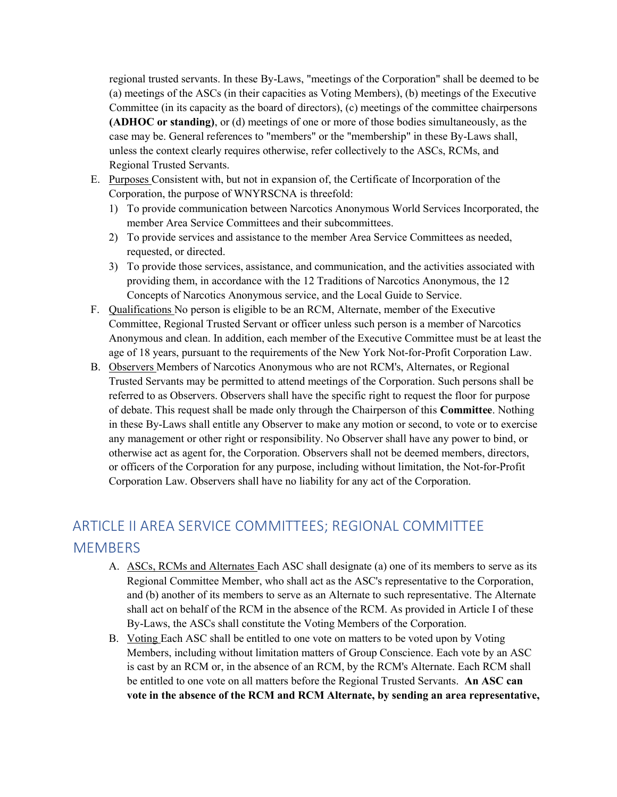regional trusted servants. In these By-Laws, "meetings of the Corporation" shall be deemed to be (a) meetings of the ASCs (in their capacities as Voting Members), (b) meetings of the Executive Committee (in its capacity as the board of directors), (c) meetings of the committee chairpersons (ADHOC or standing), or (d) meetings of one or more of those bodies simultaneously, as the case may be. General references to "members" or the "membership" in these By-Laws shall, unless the context clearly requires otherwise, refer collectively to the ASCs, RCMs, and Regional Trusted Servants.

- E. Purposes Consistent with, but not in expansion of, the Certificate of Incorporation of the Corporation, the purpose of WNYRSCNA is threefold:
	- 1) To provide communication between Narcotics Anonymous World Services Incorporated, the member Area Service Committees and their subcommittees.
	- 2) To provide services and assistance to the member Area Service Committees as needed, requested, or directed.
	- 3) To provide those services, assistance, and communication, and the activities associated with providing them, in accordance with the 12 Traditions of Narcotics Anonymous, the 12 Concepts of Narcotics Anonymous service, and the Local Guide to Service.
- F. Qualifications No person is eligible to be an RCM, Alternate, member of the Executive Committee, Regional Trusted Servant or officer unless such person is a member of Narcotics Anonymous and clean. In addition, each member of the Executive Committee must be at least the age of 18 years, pursuant to the requirements of the New York Not-for-Profit Corporation Law.
- B. Observers Members of Narcotics Anonymous who are not RCM's, Alternates, or Regional Trusted Servants may be permitted to attend meetings of the Corporation. Such persons shall be referred to as Observers. Observers shall have the specific right to request the floor for purpose of debate. This request shall be made only through the Chairperson of this Committee. Nothing in these By-Laws shall entitle any Observer to make any motion or second, to vote or to exercise any management or other right or responsibility. No Observer shall have any power to bind, or otherwise act as agent for, the Corporation. Observers shall not be deemed members, directors, or officers of the Corporation for any purpose, including without limitation, the Not-for-Profit Corporation Law. Observers shall have no liability for any act of the Corporation.

# ARTICLE II AREA SERVICE COMMITTEES; REGIONAL COMMITTEE **MEMBERS**

- A. ASCs, RCMs and Alternates Each ASC shall designate (a) one of its members to serve as its Regional Committee Member, who shall act as the ASC's representative to the Corporation, and (b) another of its members to serve as an Alternate to such representative. The Alternate shall act on behalf of the RCM in the absence of the RCM. As provided in Article I of these By-Laws, the ASCs shall constitute the Voting Members of the Corporation.
- B. Voting Each ASC shall be entitled to one vote on matters to be voted upon by Voting Members, including without limitation matters of Group Conscience. Each vote by an ASC is cast by an RCM or, in the absence of an RCM, by the RCM's Alternate. Each RCM shall be entitled to one vote on all matters before the Regional Trusted Servants. An ASC can vote in the absence of the RCM and RCM Alternate, by sending an area representative,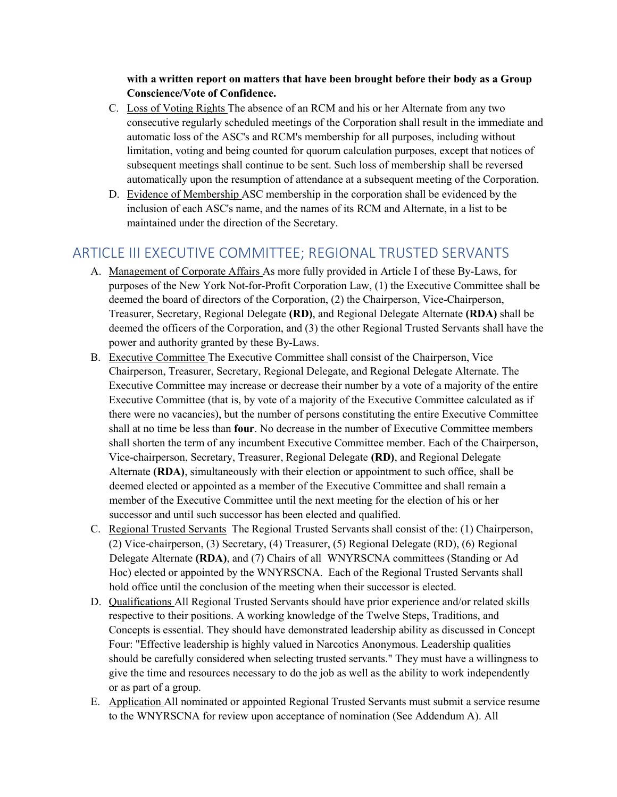with a written report on matters that have been brought before their body as a Group Conscience/Vote of Confidence.

- C. Loss of Voting Rights The absence of an RCM and his or her Alternate from any two consecutive regularly scheduled meetings of the Corporation shall result in the immediate and automatic loss of the ASC's and RCM's membership for all purposes, including without limitation, voting and being counted for quorum calculation purposes, except that notices of subsequent meetings shall continue to be sent. Such loss of membership shall be reversed automatically upon the resumption of attendance at a subsequent meeting of the Corporation.
- D. Evidence of Membership ASC membership in the corporation shall be evidenced by the inclusion of each ASC's name, and the names of its RCM and Alternate, in a list to be maintained under the direction of the Secretary.

### ARTICLE III EXECUTIVE COMMITTEE; REGIONAL TRUSTED SERVANTS

- A. Management of Corporate Affairs As more fully provided in Article I of these By-Laws, for purposes of the New York Not-for-Profit Corporation Law, (1) the Executive Committee shall be deemed the board of directors of the Corporation, (2) the Chairperson, Vice-Chairperson, Treasurer, Secretary, Regional Delegate (RD), and Regional Delegate Alternate (RDA) shall be deemed the officers of the Corporation, and (3) the other Regional Trusted Servants shall have the power and authority granted by these By-Laws.
- B. Executive Committee The Executive Committee shall consist of the Chairperson, Vice Chairperson, Treasurer, Secretary, Regional Delegate, and Regional Delegate Alternate. The Executive Committee may increase or decrease their number by a vote of a majority of the entire Executive Committee (that is, by vote of a majority of the Executive Committee calculated as if there were no vacancies), but the number of persons constituting the entire Executive Committee shall at no time be less than **four**. No decrease in the number of Executive Committee members shall shorten the term of any incumbent Executive Committee member. Each of the Chairperson, Vice-chairperson, Secretary, Treasurer, Regional Delegate (RD), and Regional Delegate Alternate (RDA), simultaneously with their election or appointment to such office, shall be deemed elected or appointed as a member of the Executive Committee and shall remain a member of the Executive Committee until the next meeting for the election of his or her successor and until such successor has been elected and qualified.
- C. Regional Trusted Servants The Regional Trusted Servants shall consist of the: (1) Chairperson, (2) Vice-chairperson, (3) Secretary, (4) Treasurer, (5) Regional Delegate (RD), (6) Regional Delegate Alternate (RDA), and (7) Chairs of all WNYRSCNA committees (Standing or Ad Hoc) elected or appointed by the WNYRSCNA. Each of the Regional Trusted Servants shall hold office until the conclusion of the meeting when their successor is elected.
- D. Qualifications All Regional Trusted Servants should have prior experience and/or related skills respective to their positions. A working knowledge of the Twelve Steps, Traditions, and Concepts is essential. They should have demonstrated leadership ability as discussed in Concept Four: "Effective leadership is highly valued in Narcotics Anonymous. Leadership qualities should be carefully considered when selecting trusted servants." They must have a willingness to give the time and resources necessary to do the job as well as the ability to work independently or as part of a group.
- E. Application All nominated or appointed Regional Trusted Servants must submit a service resume to the WNYRSCNA for review upon acceptance of nomination (See Addendum A). All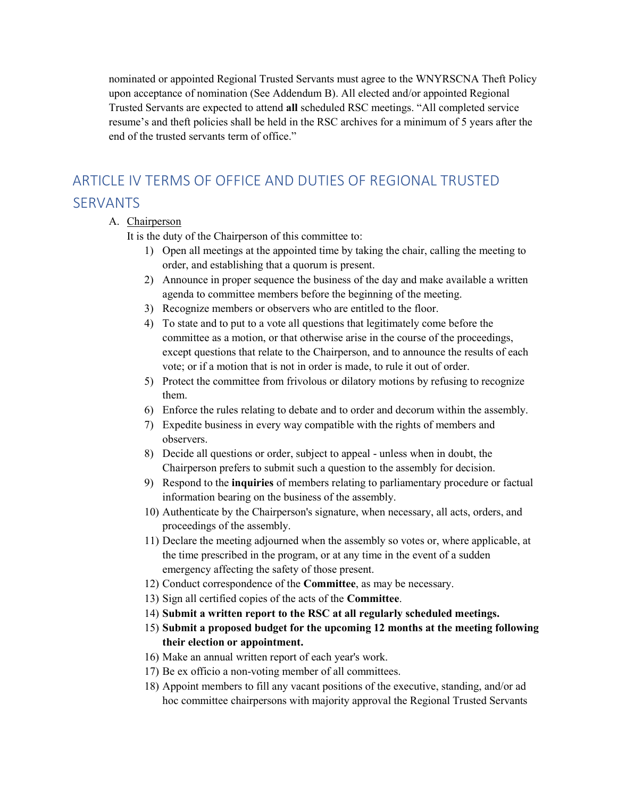nominated or appointed Regional Trusted Servants must agree to the WNYRSCNA Theft Policy upon acceptance of nomination (See Addendum B). All elected and/or appointed Regional Trusted Servants are expected to attend all scheduled RSC meetings. "All completed service resume's and theft policies shall be held in the RSC archives for a minimum of 5 years after the end of the trusted servants term of office."

# ARTICLE IV TERMS OF OFFICE AND DUTIES OF REGIONAL TRUSTED SERVANTS

#### A. Chairperson

It is the duty of the Chairperson of this committee to:

- 1) Open all meetings at the appointed time by taking the chair, calling the meeting to order, and establishing that a quorum is present.
- 2) Announce in proper sequence the business of the day and make available a written agenda to committee members before the beginning of the meeting.
- 3) Recognize members or observers who are entitled to the floor.
- 4) To state and to put to a vote all questions that legitimately come before the committee as a motion, or that otherwise arise in the course of the proceedings, except questions that relate to the Chairperson, and to announce the results of each vote; or if a motion that is not in order is made, to rule it out of order.
- 5) Protect the committee from frivolous or dilatory motions by refusing to recognize them.
- 6) Enforce the rules relating to debate and to order and decorum within the assembly.
- 7) Expedite business in every way compatible with the rights of members and observers.
- 8) Decide all questions or order, subject to appeal unless when in doubt, the Chairperson prefers to submit such a question to the assembly for decision.
- 9) Respond to the inquiries of members relating to parliamentary procedure or factual information bearing on the business of the assembly.
- 10) Authenticate by the Chairperson's signature, when necessary, all acts, orders, and proceedings of the assembly.
- 11) Declare the meeting adjourned when the assembly so votes or, where applicable, at the time prescribed in the program, or at any time in the event of a sudden emergency affecting the safety of those present.
- 12) Conduct correspondence of the Committee, as may be necessary.
- 13) Sign all certified copies of the acts of the Committee.
- 14) Submit a written report to the RSC at all regularly scheduled meetings.
- 15) Submit a proposed budget for the upcoming 12 months at the meeting following their election or appointment.
- 16) Make an annual written report of each year's work.
- 17) Be ex officio a non-voting member of all committees.
- 18) Appoint members to fill any vacant positions of the executive, standing, and/or ad hoc committee chairpersons with majority approval the Regional Trusted Servants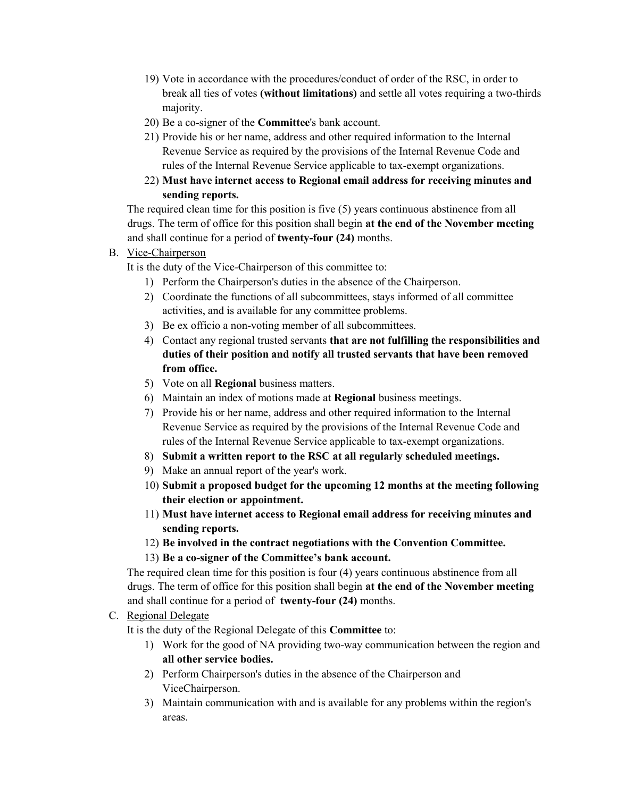- 19) Vote in accordance with the procedures/conduct of order of the RSC, in order to break all ties of votes (without limitations) and settle all votes requiring a two-thirds majority.
- 20) Be a co-signer of the Committee's bank account.
- 21) Provide his or her name, address and other required information to the Internal Revenue Service as required by the provisions of the Internal Revenue Code and rules of the Internal Revenue Service applicable to tax-exempt organizations.
- 22) Must have internet access to Regional email address for receiving minutes and sending reports.

The required clean time for this position is five (5) years continuous abstinence from all drugs. The term of office for this position shall begin at the end of the November meeting and shall continue for a period of twenty-four (24) months.

B. Vice-Chairperson

It is the duty of the Vice-Chairperson of this committee to:

- 1) Perform the Chairperson's duties in the absence of the Chairperson.
- 2) Coordinate the functions of all subcommittees, stays informed of all committee activities, and is available for any committee problems.
- 3) Be ex officio a non-voting member of all subcommittees.
- 4) Contact any regional trusted servants that are not fulfilling the responsibilities and duties of their position and notify all trusted servants that have been removed from office.
- 5) Vote on all Regional business matters.
- 6) Maintain an index of motions made at Regional business meetings.
- 7) Provide his or her name, address and other required information to the Internal Revenue Service as required by the provisions of the Internal Revenue Code and rules of the Internal Revenue Service applicable to tax-exempt organizations.
- 8) Submit a written report to the RSC at all regularly scheduled meetings.
- 9) Make an annual report of the year's work.
- 10) Submit a proposed budget for the upcoming 12 months at the meeting following their election or appointment.
- 11) Must have internet access to Regional email address for receiving minutes and sending reports.
- 12) Be involved in the contract negotiations with the Convention Committee.
- 13) Be a co-signer of the Committee's bank account.

The required clean time for this position is four (4) years continuous abstinence from all drugs. The term of office for this position shall begin at the end of the November meeting and shall continue for a period of twenty-four (24) months.

C. Regional Delegate

It is the duty of the Regional Delegate of this Committee to:

- 1) Work for the good of NA providing two-way communication between the region and all other service bodies.
- 2) Perform Chairperson's duties in the absence of the Chairperson and ViceChairperson.
- 3) Maintain communication with and is available for any problems within the region's areas.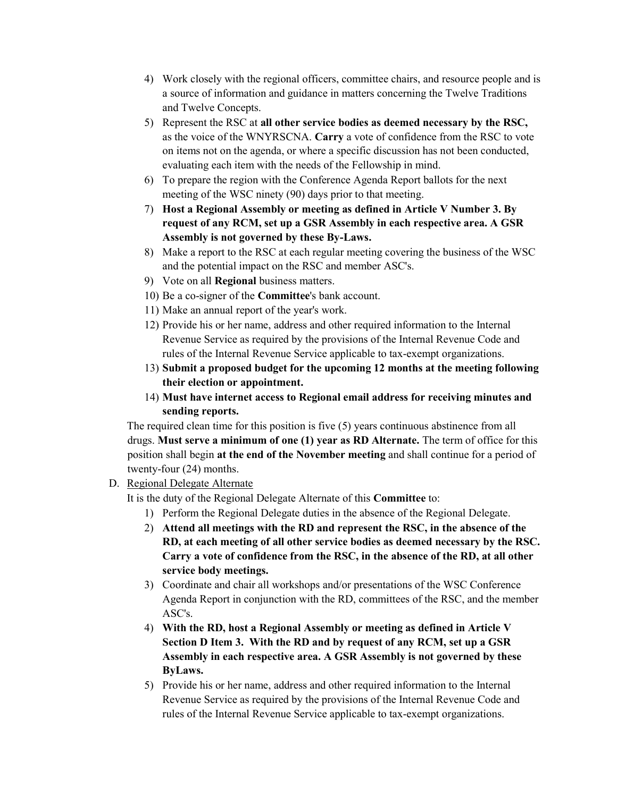- 4) Work closely with the regional officers, committee chairs, and resource people and is a source of information and guidance in matters concerning the Twelve Traditions and Twelve Concepts.
- 5) Represent the RSC at all other service bodies as deemed necessary by the RSC, as the voice of the WNYRSCNA. Carry a vote of confidence from the RSC to vote on items not on the agenda, or where a specific discussion has not been conducted, evaluating each item with the needs of the Fellowship in mind.
- 6) To prepare the region with the Conference Agenda Report ballots for the next meeting of the WSC ninety (90) days prior to that meeting.
- 7) Host a Regional Assembly or meeting as defined in Article V Number 3. By request of any RCM, set up a GSR Assembly in each respective area. A GSR Assembly is not governed by these By-Laws.
- 8) Make a report to the RSC at each regular meeting covering the business of the WSC and the potential impact on the RSC and member ASC's.
- 9) Vote on all Regional business matters.
- 10) Be a co-signer of the Committee's bank account.
- 11) Make an annual report of the year's work.
- 12) Provide his or her name, address and other required information to the Internal Revenue Service as required by the provisions of the Internal Revenue Code and rules of the Internal Revenue Service applicable to tax-exempt organizations.
- 13) Submit a proposed budget for the upcoming 12 months at the meeting following their election or appointment.
- 14) Must have internet access to Regional email address for receiving minutes and sending reports.

The required clean time for this position is five (5) years continuous abstinence from all drugs. Must serve a minimum of one (1) year as RD Alternate. The term of office for this position shall begin at the end of the November meeting and shall continue for a period of twenty-four (24) months.

D. Regional Delegate Alternate

It is the duty of the Regional Delegate Alternate of this Committee to:

- 1) Perform the Regional Delegate duties in the absence of the Regional Delegate.
- 2) Attend all meetings with the RD and represent the RSC, in the absence of the RD, at each meeting of all other service bodies as deemed necessary by the RSC. Carry a vote of confidence from the RSC, in the absence of the RD, at all other service body meetings.
- 3) Coordinate and chair all workshops and/or presentations of the WSC Conference Agenda Report in conjunction with the RD, committees of the RSC, and the member ASC's.
- 4) With the RD, host a Regional Assembly or meeting as defined in Article V Section D Item 3. With the RD and by request of any RCM, set up a GSR Assembly in each respective area. A GSR Assembly is not governed by these ByLaws.
- 5) Provide his or her name, address and other required information to the Internal Revenue Service as required by the provisions of the Internal Revenue Code and rules of the Internal Revenue Service applicable to tax-exempt organizations.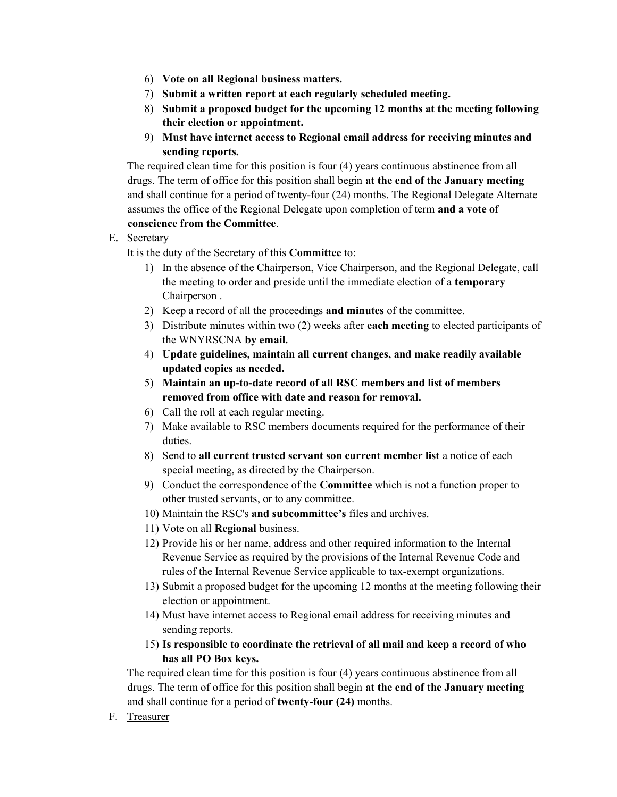- 6) Vote on all Regional business matters.
- 7) Submit a written report at each regularly scheduled meeting.
- 8) Submit a proposed budget for the upcoming 12 months at the meeting following their election or appointment.
- 9) Must have internet access to Regional email address for receiving minutes and sending reports.

The required clean time for this position is four (4) years continuous abstinence from all drugs. The term of office for this position shall begin at the end of the January meeting and shall continue for a period of twenty-four (24) months. The Regional Delegate Alternate assumes the office of the Regional Delegate upon completion of term and a vote of conscience from the Committee.

#### E. Secretary

It is the duty of the Secretary of this Committee to:

- 1) In the absence of the Chairperson, Vice Chairperson, and the Regional Delegate, call the meeting to order and preside until the immediate election of a temporary Chairperson .
- 2) Keep a record of all the proceedings and minutes of the committee.
- 3) Distribute minutes within two (2) weeks after each meeting to elected participants of the WNYRSCNA by email.
- 4) Update guidelines, maintain all current changes, and make readily available updated copies as needed.
- 5) Maintain an up-to-date record of all RSC members and list of members removed from office with date and reason for removal.
- 6) Call the roll at each regular meeting.
- 7) Make available to RSC members documents required for the performance of their duties.
- 8) Send to all current trusted servant son current member list a notice of each special meeting, as directed by the Chairperson.
- 9) Conduct the correspondence of the Committee which is not a function proper to other trusted servants, or to any committee.
- 10) Maintain the RSC's and subcommittee's files and archives.
- 11) Vote on all Regional business.
- 12) Provide his or her name, address and other required information to the Internal Revenue Service as required by the provisions of the Internal Revenue Code and rules of the Internal Revenue Service applicable to tax-exempt organizations.
- 13) Submit a proposed budget for the upcoming 12 months at the meeting following their election or appointment.
- 14) Must have internet access to Regional email address for receiving minutes and sending reports.
- 15) Is responsible to coordinate the retrieval of all mail and keep a record of who has all PO Box keys.

The required clean time for this position is four (4) years continuous abstinence from all drugs. The term of office for this position shall begin at the end of the January meeting and shall continue for a period of twenty-four (24) months.

F. Treasurer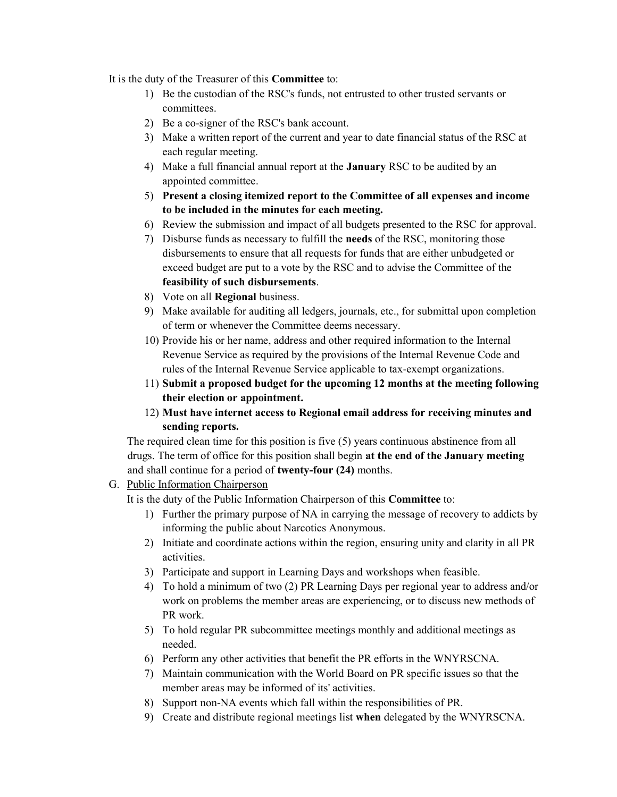It is the duty of the Treasurer of this Committee to:

- 1) Be the custodian of the RSC's funds, not entrusted to other trusted servants or committees.
- 2) Be a co-signer of the RSC's bank account.
- 3) Make a written report of the current and year to date financial status of the RSC at each regular meeting.
- 4) Make a full financial annual report at the January RSC to be audited by an appointed committee.
- 5) Present a closing itemized report to the Committee of all expenses and income to be included in the minutes for each meeting.
- 6) Review the submission and impact of all budgets presented to the RSC for approval.
- 7) Disburse funds as necessary to fulfill the needs of the RSC, monitoring those disbursements to ensure that all requests for funds that are either unbudgeted or exceed budget are put to a vote by the RSC and to advise the Committee of the feasibility of such disbursements.
- 8) Vote on all Regional business.
- 9) Make available for auditing all ledgers, journals, etc., for submittal upon completion of term or whenever the Committee deems necessary.
- 10) Provide his or her name, address and other required information to the Internal Revenue Service as required by the provisions of the Internal Revenue Code and rules of the Internal Revenue Service applicable to tax-exempt organizations.
- 11) Submit a proposed budget for the upcoming 12 months at the meeting following their election or appointment.
- 12) Must have internet access to Regional email address for receiving minutes and sending reports.

The required clean time for this position is five (5) years continuous abstinence from all drugs. The term of office for this position shall begin at the end of the January meeting and shall continue for a period of twenty-four (24) months.

#### G. Public Information Chairperson

It is the duty of the Public Information Chairperson of this Committee to:

- 1) Further the primary purpose of NA in carrying the message of recovery to addicts by informing the public about Narcotics Anonymous.
- 2) Initiate and coordinate actions within the region, ensuring unity and clarity in all PR activities.
- 3) Participate and support in Learning Days and workshops when feasible.
- 4) To hold a minimum of two (2) PR Learning Days per regional year to address and/or work on problems the member areas are experiencing, or to discuss new methods of PR work.
- 5) To hold regular PR subcommittee meetings monthly and additional meetings as needed.
- 6) Perform any other activities that benefit the PR efforts in the WNYRSCNA.
- 7) Maintain communication with the World Board on PR specific issues so that the member areas may be informed of its' activities.
- 8) Support non-NA events which fall within the responsibilities of PR.
- 9) Create and distribute regional meetings list when delegated by the WNYRSCNA.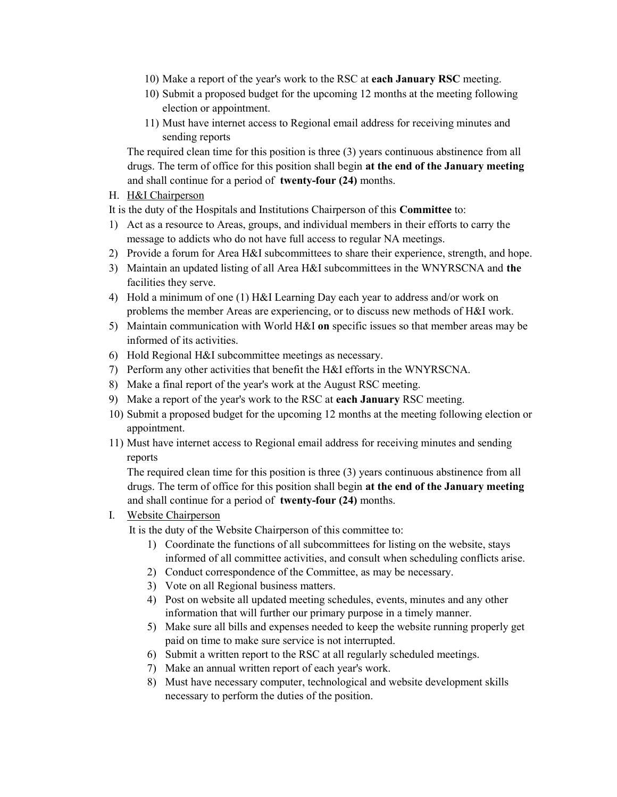- 10) Make a report of the year's work to the RSC at each January RSC meeting.
- 10) Submit a proposed budget for the upcoming 12 months at the meeting following election or appointment.
- 11) Must have internet access to Regional email address for receiving minutes and sending reports

The required clean time for this position is three (3) years continuous abstinence from all drugs. The term of office for this position shall begin at the end of the January meeting and shall continue for a period of twenty-four (24) months.

#### H. H&I Chairperson

It is the duty of the Hospitals and Institutions Chairperson of this Committee to:

- 1) Act as a resource to Areas, groups, and individual members in their efforts to carry the message to addicts who do not have full access to regular NA meetings.
- 2) Provide a forum for Area H&I subcommittees to share their experience, strength, and hope.
- 3) Maintain an updated listing of all Area H&I subcommittees in the WNYRSCNA and the facilities they serve.
- 4) Hold a minimum of one (1) H&I Learning Day each year to address and/or work on problems the member Areas are experiencing, or to discuss new methods of H&I work.
- 5) Maintain communication with World H&I on specific issues so that member areas may be informed of its activities.
- 6) Hold Regional H&I subcommittee meetings as necessary.
- 7) Perform any other activities that benefit the H&I efforts in the WNYRSCNA.
- 8) Make a final report of the year's work at the August RSC meeting.
- 9) Make a report of the year's work to the RSC at each January RSC meeting.
- 10) Submit a proposed budget for the upcoming 12 months at the meeting following election or appointment.
- 11) Must have internet access to Regional email address for receiving minutes and sending reports

The required clean time for this position is three (3) years continuous abstinence from all drugs. The term of office for this position shall begin at the end of the January meeting and shall continue for a period of twenty-four (24) months.

#### I. Website Chairperson

It is the duty of the Website Chairperson of this committee to:

- 1) Coordinate the functions of all subcommittees for listing on the website, stays informed of all committee activities, and consult when scheduling conflicts arise.
- 2) Conduct correspondence of the Committee, as may be necessary.
- 3) Vote on all Regional business matters.
- 4) Post on website all updated meeting schedules, events, minutes and any other information that will further our primary purpose in a timely manner.
- 5) Make sure all bills and expenses needed to keep the website running properly get paid on time to make sure service is not interrupted.
- 6) Submit a written report to the RSC at all regularly scheduled meetings.
- 7) Make an annual written report of each year's work.
- 8) Must have necessary computer, technological and website development skills necessary to perform the duties of the position.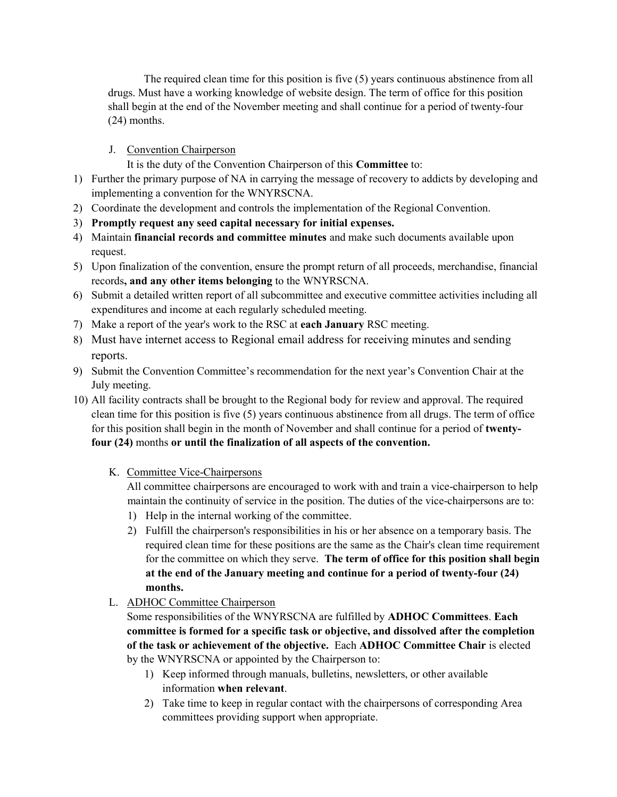The required clean time for this position is five (5) years continuous abstinence from all drugs. Must have a working knowledge of website design. The term of office for this position shall begin at the end of the November meeting and shall continue for a period of twenty-four (24) months.

#### J. Convention Chairperson

It is the duty of the Convention Chairperson of this Committee to:

- 1) Further the primary purpose of NA in carrying the message of recovery to addicts by developing and implementing a convention for the WNYRSCNA.
- 2) Coordinate the development and controls the implementation of the Regional Convention.
- 3) Promptly request any seed capital necessary for initial expenses.
- 4) Maintain financial records and committee minutes and make such documents available upon request.
- 5) Upon finalization of the convention, ensure the prompt return of all proceeds, merchandise, financial records, and any other items belonging to the WNYRSCNA.
- 6) Submit a detailed written report of all subcommittee and executive committee activities including all expenditures and income at each regularly scheduled meeting.
- 7) Make a report of the year's work to the RSC at each January RSC meeting.
- 8) Must have internet access to Regional email address for receiving minutes and sending reports.
- 9) Submit the Convention Committee's recommendation for the next year's Convention Chair at the July meeting.
- 10) All facility contracts shall be brought to the Regional body for review and approval. The required clean time for this position is five (5) years continuous abstinence from all drugs. The term of office for this position shall begin in the month of November and shall continue for a period of twentyfour (24) months or until the finalization of all aspects of the convention.
	- K. Committee Vice-Chairpersons

All committee chairpersons are encouraged to work with and train a vice-chairperson to help maintain the continuity of service in the position. The duties of the vice-chairpersons are to:

- 1) Help in the internal working of the committee.
- 2) Fulfill the chairperson's responsibilities in his or her absence on a temporary basis. The required clean time for these positions are the same as the Chair's clean time requirement for the committee on which they serve. The term of office for this position shall begin at the end of the January meeting and continue for a period of twenty-four (24) months.
- L. ADHOC Committee Chairperson

Some responsibilities of the WNYRSCNA are fulfilled by ADHOC Committees. Each committee is formed for a specific task or objective, and dissolved after the completion of the task or achievement of the objective. Each ADHOC Committee Chair is elected by the WNYRSCNA or appointed by the Chairperson to:

- 1) Keep informed through manuals, bulletins, newsletters, or other available information when relevant.
- 2) Take time to keep in regular contact with the chairpersons of corresponding Area committees providing support when appropriate.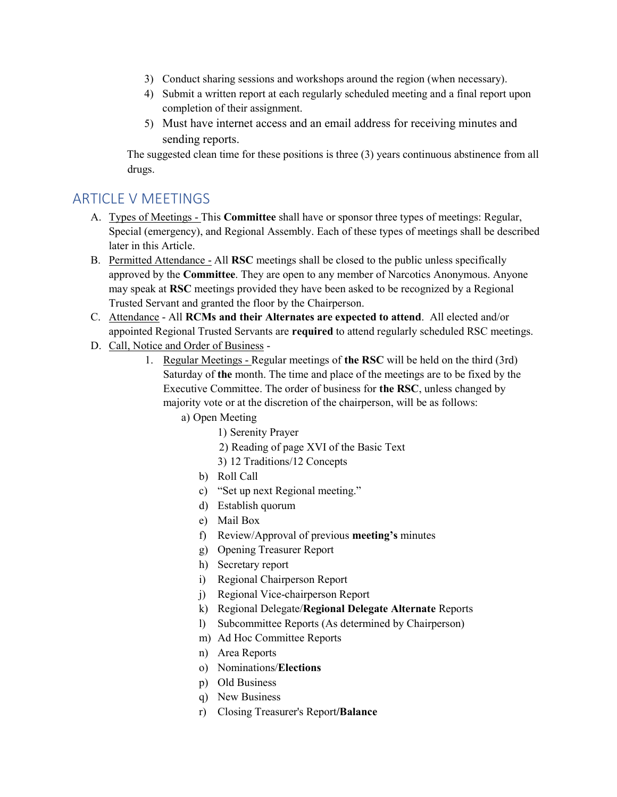- 3) Conduct sharing sessions and workshops around the region (when necessary).
- 4) Submit a written report at each regularly scheduled meeting and a final report upon completion of their assignment.
- 5) Must have internet access and an email address for receiving minutes and sending reports.

The suggested clean time for these positions is three (3) years continuous abstinence from all drugs.

### ARTICLE V MEETINGS

- A. Types of Meetings This **Committee** shall have or sponsor three types of meetings: Regular, Special (emergency), and Regional Assembly. Each of these types of meetings shall be described later in this Article.
- B. Permitted Attendance All RSC meetings shall be closed to the public unless specifically approved by the Committee. They are open to any member of Narcotics Anonymous. Anyone may speak at RSC meetings provided they have been asked to be recognized by a Regional Trusted Servant and granted the floor by the Chairperson.
- C. Attendance All RCMs and their Alternates are expected to attend. All elected and/or appointed Regional Trusted Servants are required to attend regularly scheduled RSC meetings.
- D. Call, Notice and Order of Business
	- 1. Regular Meetings Regular meetings of the RSC will be held on the third (3rd) Saturday of the month. The time and place of the meetings are to be fixed by the Executive Committee. The order of business for the RSC, unless changed by majority vote or at the discretion of the chairperson, will be as follows:
		- a) Open Meeting
			- 1) Serenity Prayer
			- 2) Reading of page XVI of the Basic Text
			- 3) 12 Traditions/12 Concepts
			- b) Roll Call
			- c) "Set up next Regional meeting."
			- d) Establish quorum
			- e) Mail Box
			- f) Review/Approval of previous meeting's minutes
			- g) Opening Treasurer Report
			- h) Secretary report
			- i) Regional Chairperson Report
			- j) Regional Vice-chairperson Report
			- k) Regional Delegate/Regional Delegate Alternate Reports
			- l) Subcommittee Reports (As determined by Chairperson)
			- m) Ad Hoc Committee Reports
			- n) Area Reports
			- o) Nominations/Elections
			- p) Old Business
			- q) New Business
			- r) Closing Treasurer's Report/Balance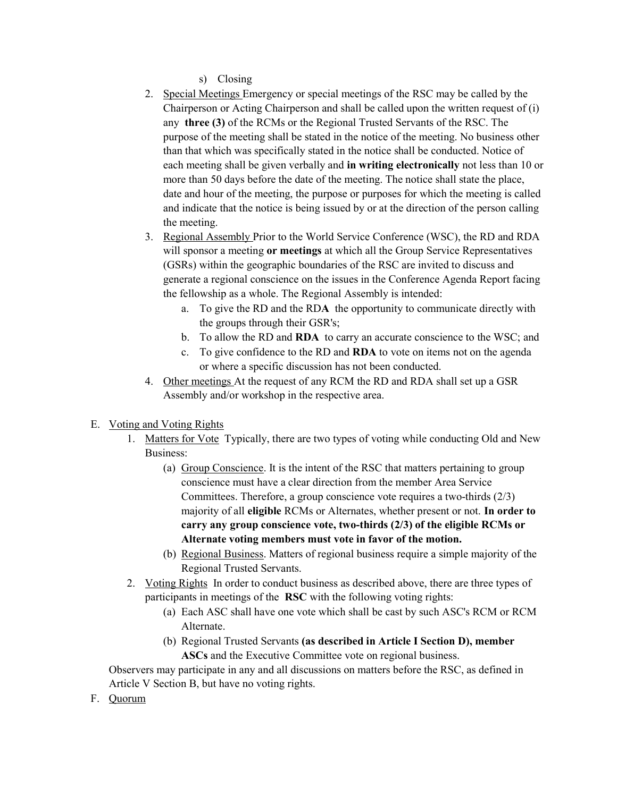s) Closing

- 2. Special Meetings Emergency or special meetings of the RSC may be called by the Chairperson or Acting Chairperson and shall be called upon the written request of (i) any three (3) of the RCMs or the Regional Trusted Servants of the RSC. The purpose of the meeting shall be stated in the notice of the meeting. No business other than that which was specifically stated in the notice shall be conducted. Notice of each meeting shall be given verbally and in writing electronically not less than 10 or more than 50 days before the date of the meeting. The notice shall state the place, date and hour of the meeting, the purpose or purposes for which the meeting is called and indicate that the notice is being issued by or at the direction of the person calling the meeting.
- 3. Regional Assembly Prior to the World Service Conference (WSC), the RD and RDA will sponsor a meeting or meetings at which all the Group Service Representatives (GSRs) within the geographic boundaries of the RSC are invited to discuss and generate a regional conscience on the issues in the Conference Agenda Report facing the fellowship as a whole. The Regional Assembly is intended:
	- a. To give the RD and the RDA the opportunity to communicate directly with the groups through their GSR's;
	- b. To allow the RD and RDA to carry an accurate conscience to the WSC; and
	- c. To give confidence to the RD and RDA to vote on items not on the agenda or where a specific discussion has not been conducted.
- 4. Other meetings At the request of any RCM the RD and RDA shall set up a GSR Assembly and/or workshop in the respective area.

#### E. Voting and Voting Rights

- 1. Matters for Vote Typically, there are two types of voting while conducting Old and New Business:
	- (a) Group Conscience. It is the intent of the RSC that matters pertaining to group conscience must have a clear direction from the member Area Service Committees. Therefore, a group conscience vote requires a two-thirds (2/3) majority of all eligible RCMs or Alternates, whether present or not. In order to carry any group conscience vote, two-thirds (2/3) of the eligible RCMs or Alternate voting members must vote in favor of the motion.
	- (b) Regional Business. Matters of regional business require a simple majority of the Regional Trusted Servants.
- 2. Voting Rights In order to conduct business as described above, there are three types of participants in meetings of the RSC with the following voting rights:
	- (a) Each ASC shall have one vote which shall be cast by such ASC's RCM or RCM Alternate.
	- (b) Regional Trusted Servants (as described in Article I Section D), member ASCs and the Executive Committee vote on regional business.

Observers may participate in any and all discussions on matters before the RSC, as defined in Article V Section B, but have no voting rights.

F. Quorum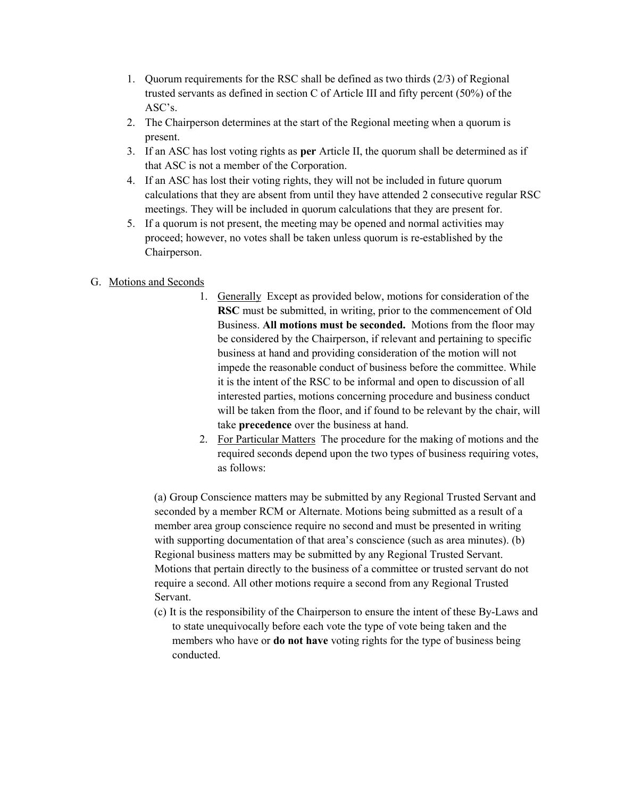- 1. Quorum requirements for the RSC shall be defined as two thirds (2/3) of Regional trusted servants as defined in section C of Article III and fifty percent (50%) of the ASC's.
- 2. The Chairperson determines at the start of the Regional meeting when a quorum is present.
- 3. If an ASC has lost voting rights as per Article II, the quorum shall be determined as if that ASC is not a member of the Corporation.
- 4. If an ASC has lost their voting rights, they will not be included in future quorum calculations that they are absent from until they have attended 2 consecutive regular RSC meetings. They will be included in quorum calculations that they are present for.
- 5. If a quorum is not present, the meeting may be opened and normal activities may proceed; however, no votes shall be taken unless quorum is re-established by the Chairperson.
- G. Motions and Seconds
	- 1. Generally Except as provided below, motions for consideration of the RSC must be submitted, in writing, prior to the commencement of Old Business. All motions must be seconded. Motions from the floor may be considered by the Chairperson, if relevant and pertaining to specific business at hand and providing consideration of the motion will not impede the reasonable conduct of business before the committee. While it is the intent of the RSC to be informal and open to discussion of all interested parties, motions concerning procedure and business conduct will be taken from the floor, and if found to be relevant by the chair, will take precedence over the business at hand.
	- 2. For Particular Matters The procedure for the making of motions and the required seconds depend upon the two types of business requiring votes, as follows:

(a) Group Conscience matters may be submitted by any Regional Trusted Servant and seconded by a member RCM or Alternate. Motions being submitted as a result of a member area group conscience require no second and must be presented in writing with supporting documentation of that area's conscience (such as area minutes). (b) Regional business matters may be submitted by any Regional Trusted Servant. Motions that pertain directly to the business of a committee or trusted servant do not require a second. All other motions require a second from any Regional Trusted Servant.

(c) It is the responsibility of the Chairperson to ensure the intent of these By-Laws and to state unequivocally before each vote the type of vote being taken and the members who have or **do not have** voting rights for the type of business being conducted.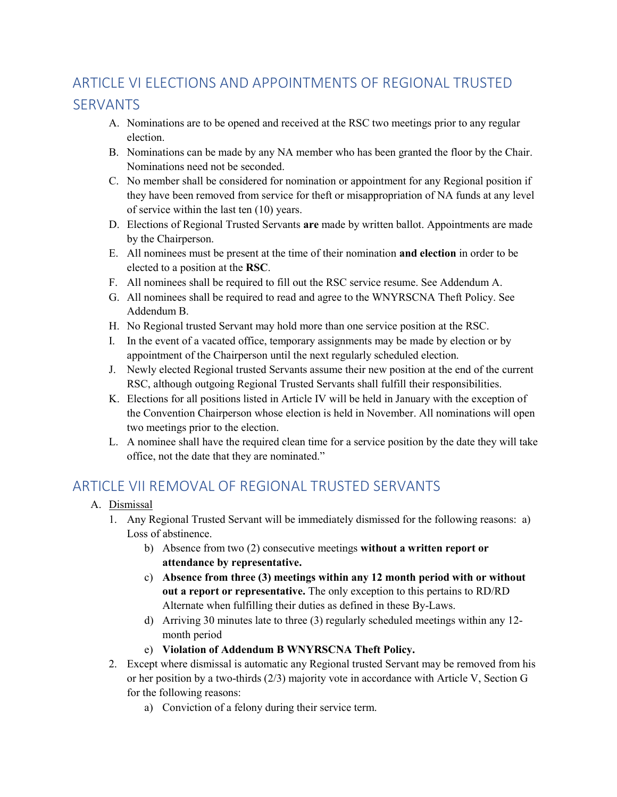# ARTICLE VI ELECTIONS AND APPOINTMENTS OF REGIONAL TRUSTED SERVANTS

- A. Nominations are to be opened and received at the RSC two meetings prior to any regular election.
- B. Nominations can be made by any NA member who has been granted the floor by the Chair. Nominations need not be seconded.
- C. No member shall be considered for nomination or appointment for any Regional position if they have been removed from service for theft or misappropriation of NA funds at any level of service within the last ten (10) years.
- D. Elections of Regional Trusted Servants are made by written ballot. Appointments are made by the Chairperson.
- E. All nominees must be present at the time of their nomination and election in order to be elected to a position at the RSC.
- F. All nominees shall be required to fill out the RSC service resume. See Addendum A.
- G. All nominees shall be required to read and agree to the WNYRSCNA Theft Policy. See Addendum B.
- H. No Regional trusted Servant may hold more than one service position at the RSC.
- I. In the event of a vacated office, temporary assignments may be made by election or by appointment of the Chairperson until the next regularly scheduled election.
- J. Newly elected Regional trusted Servants assume their new position at the end of the current RSC, although outgoing Regional Trusted Servants shall fulfill their responsibilities.
- K. Elections for all positions listed in Article IV will be held in January with the exception of the Convention Chairperson whose election is held in November. All nominations will open two meetings prior to the election.
- L. A nominee shall have the required clean time for a service position by the date they will take office, not the date that they are nominated."

# ARTICLE VILREMOVAL OF REGIONAL TRUSTED SERVANTS

- A. Dismissal
	- 1. Any Regional Trusted Servant will be immediately dismissed for the following reasons: a) Loss of abstinence.
		- b) Absence from two (2) consecutive meetings without a written report or attendance by representative.
		- c) Absence from three (3) meetings within any 12 month period with or without out a report or representative. The only exception to this pertains to RD/RD Alternate when fulfilling their duties as defined in these By-Laws.
		- d) Arriving 30 minutes late to three (3) regularly scheduled meetings within any 12 month period
		- e) Violation of Addendum B WNYRSCNA Theft Policy.
	- 2. Except where dismissal is automatic any Regional trusted Servant may be removed from his or her position by a two-thirds (2/3) majority vote in accordance with Article V, Section G for the following reasons:
		- a) Conviction of a felony during their service term.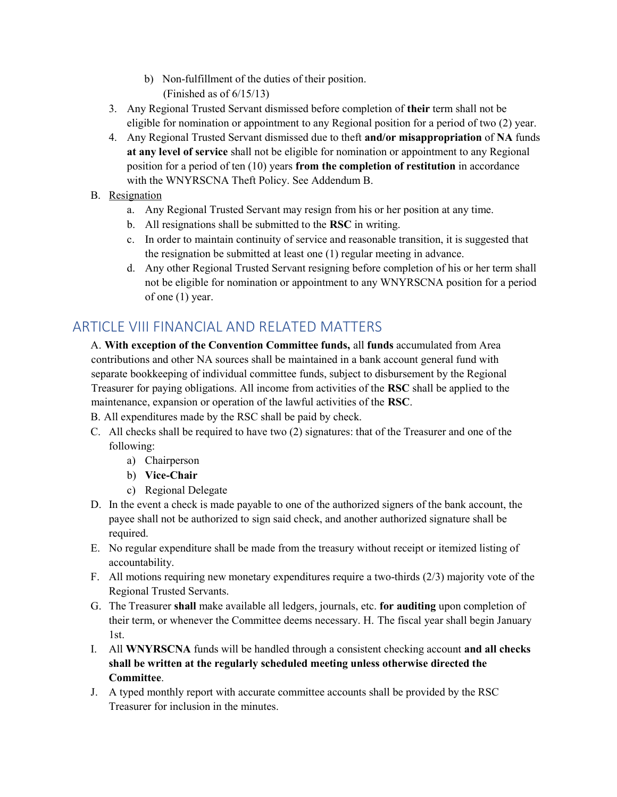- b) Non-fulfillment of the duties of their position. (Finished as of 6/15/13)
- 3. Any Regional Trusted Servant dismissed before completion of their term shall not be eligible for nomination or appointment to any Regional position for a period of two (2) year.
- 4. Any Regional Trusted Servant dismissed due to theft and/or misappropriation of NA funds at any level of service shall not be eligible for nomination or appointment to any Regional position for a period of ten (10) years from the completion of restitution in accordance with the WNYRSCNA Theft Policy. See Addendum B.

#### B. Resignation

- a. Any Regional Trusted Servant may resign from his or her position at any time.
- b. All resignations shall be submitted to the RSC in writing.
- c. In order to maintain continuity of service and reasonable transition, it is suggested that the resignation be submitted at least one (1) regular meeting in advance.
- d. Any other Regional Trusted Servant resigning before completion of his or her term shall not be eligible for nomination or appointment to any WNYRSCNA position for a period of one (1) year.

## ARTICLE VIII FINANCIAL AND RELATED MATTERS

A. With exception of the Convention Committee funds, all funds accumulated from Area contributions and other NA sources shall be maintained in a bank account general fund with separate bookkeeping of individual committee funds, subject to disbursement by the Regional Treasurer for paying obligations. All income from activities of the RSC shall be applied to the maintenance, expansion or operation of the lawful activities of the RSC.

B. All expenditures made by the RSC shall be paid by check.

- C. All checks shall be required to have two (2) signatures: that of the Treasurer and one of the following:
	- a) Chairperson
	- b) Vice-Chair
	- c) Regional Delegate
- D. In the event a check is made payable to one of the authorized signers of the bank account, the payee shall not be authorized to sign said check, and another authorized signature shall be required.
- E. No regular expenditure shall be made from the treasury without receipt or itemized listing of accountability.
- F. All motions requiring new monetary expenditures require a two-thirds (2/3) majority vote of the Regional Trusted Servants.
- G. The Treasurer shall make available all ledgers, journals, etc. for auditing upon completion of their term, or whenever the Committee deems necessary. H. The fiscal year shall begin January 1st.
- I. All WNYRSCNA funds will be handled through a consistent checking account and all checks shall be written at the regularly scheduled meeting unless otherwise directed the Committee.
- J. A typed monthly report with accurate committee accounts shall be provided by the RSC Treasurer for inclusion in the minutes.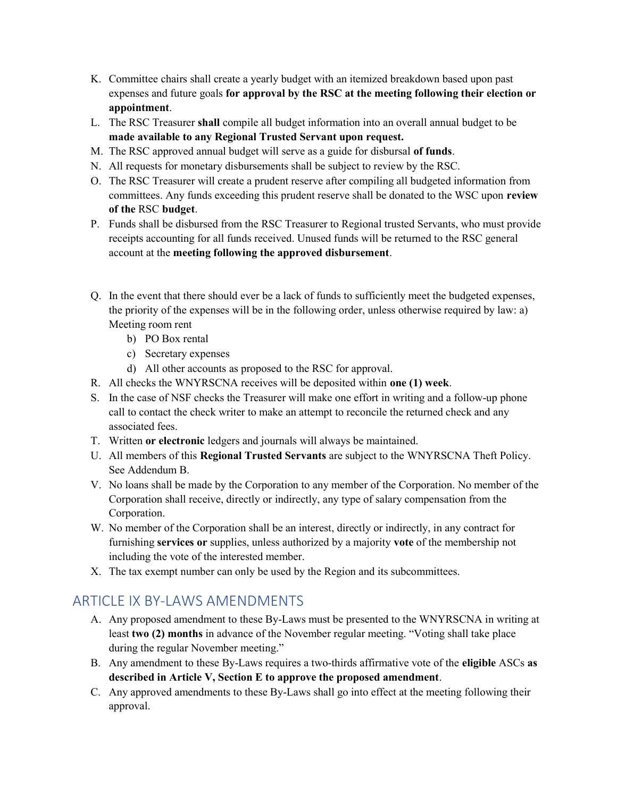- K. Committee chairs shall create a yearly budget with an itemized breakdown based upon past expenses and future goals for approval by the RSC at the meeting following their election or appointment.
- L. The RSC Treasurer shall compile all budget information into an overall annual budget to be made available to any Regional Trusted Servant upon request.
- M. The RSC approved annual budget will serve as a guide for disbursal of funds.
- N. All requests for monetary disbursements shall be subject to review by the RSC.
- O. The RSC Treasurer will create a prudent reserve after compiling all budgeted information from committees. Any funds exceeding this prudent reserve shall be donated to the WSC upon review of the RSC budget.
- P. Funds shall be disbursed from the RSC Treasurer to Regional trusted Servants, who must provide receipts accounting for all funds received. Unused funds will be returned to the RSC general account at the meeting following the approved disbursement.
- Q. In the event that there should ever be a lack of funds to sufficiently meet the budgeted expenses, the priority of the expenses will be in the following order, unless otherwise required by law: a) Meeting room rent
	- b) PO Box rental
	- c) Secretary expenses
	- d) All other accounts as proposed to the RSC for approval.
- R. All checks the WNYRSCNA receives will be deposited within one (1) week.
- S. In the case of NSF checks the Treasurer will make one effort in writing and a follow-up phone call to contact the check writer to make an attempt to reconcile the returned check and any associated fees.
- T. Written or electronic ledgers and journals will always be maintained.
- U. All members of this Regional Trusted Servants are subject to the WNYRSCNA Theft Policy. See Addendum B.
- V. No loans shall be made by the Corporation to any member of the Corporation. No member of the Corporation shall receive, directly or indirectly, any type of salary compensation from the Corporation.
- W. No member of the Corporation shall be an interest, directly or indirectly, in any contract for furnishing services or supplies, unless authorized by a majority vote of the membership not including the vote of the interested member.
- X. The tax exempt number can only be used by the Region and its subcommittees.

### ARTICLE IX BY-LAWS AMENDMENTS

- A. Any proposed amendment to these By-Laws must be presented to the WNYRSCNA in writing at least two (2) months in advance of the November regular meeting. "Voting shall take place during the regular November meeting."
- B. Any amendment to these By-Laws requires a two-thirds affirmative vote of the eligible ASCs as described in Article V, Section E to approve the proposed amendment.
- C. Any approved amendments to these By-Laws shall go into effect at the meeting following their approval.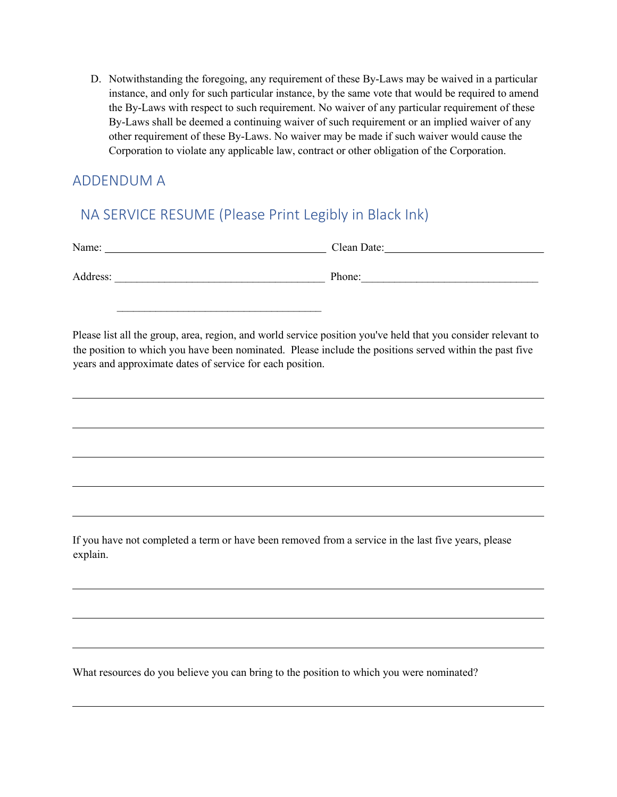D. Notwithstanding the foregoing, any requirement of these By-Laws may be waived in a particular instance, and only for such particular instance, by the same vote that would be required to amend the By-Laws with respect to such requirement. No waiver of any particular requirement of these By-Laws shall be deemed a continuing waiver of such requirement or an implied waiver of any other requirement of these By-Laws. No waiver may be made if such waiver would cause the Corporation to violate any applicable law, contract or other obligation of the Corporation.

### ADDENDUM A

 $\overline{\phantom{a}}$ 

 $\overline{\phantom{a}}$ 

# NA SERVICE RESUME (Please Print Legibly in Black Ink)

| Name:    | Clean Date: |
|----------|-------------|
| Address: | Phone:      |
|          |             |

Please list all the group, area, region, and world service position you've held that you consider relevant to the position to which you have been nominated. Please include the positions served within the past five years and approximate dates of service for each position.

If you have not completed a term or have been removed from a service in the last five years, please explain.

What resources do you believe you can bring to the position to which you were nominated?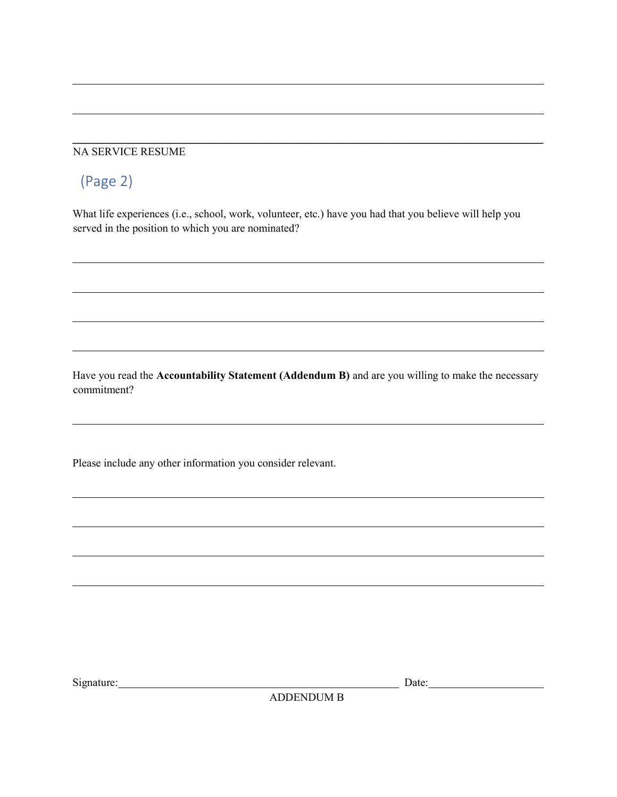#### NA SERVICE RESUME

# (Page 2)

 $\overline{a}$ 

 $\overline{a}$ 

 $\overline{\phantom{a}}$ 

 $\overline{\phantom{a}}$ 

What life experiences (i.e., school, work, volunteer, etc.) have you had that you believe will help you served in the position to which you are nominated?

\_\_\_\_\_\_\_\_\_\_\_\_\_\_\_\_\_\_\_\_\_\_\_\_\_\_\_\_\_\_\_\_\_\_\_\_\_\_\_\_\_\_\_\_\_\_\_\_\_\_\_\_\_\_\_\_\_\_\_\_\_\_\_\_\_\_\_\_\_\_\_\_\_\_\_\_\_\_\_\_\_\_\_\_\_

Have you read the Accountability Statement (Addendum B) and are you willing to make the necessary commitment?

Please include any other information you consider relevant.

Signature: Date: Date: Date: Date: Date: Date: Date: Date: Date: Date: Date: Date: Date: Date: Date: Date: Date: Date: Date: Date: Date: Date: Date: Date: Date: Date: Date: Date: Date: Date: Date: Date: Date: Date: Date: D

ADDENDUM B